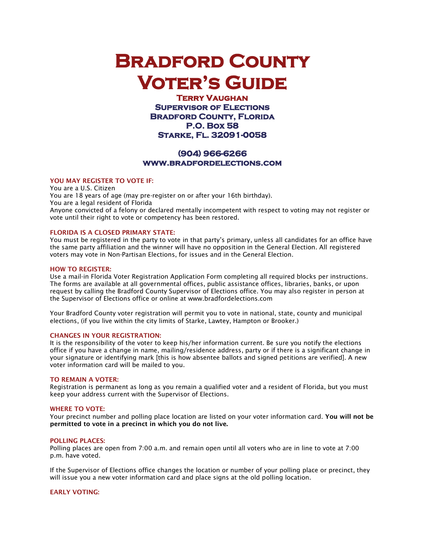# **Bradford County Voter's Guide**

**Terry Vaughan Supervisor of Elections Bradford County, Florida P.O. Box 58 Starke, Fl. 32091-0058** 

## **(904) 966-6266 www.bradfordelections.com**

## YOU MAY REGISTER TO VOTE IF:

You are a U.S. Citizen You are 18 years of age (may pre-register on or after your 16th birthday). You are a legal resident of Florida Anyone convicted of a felony or declared mentally incompetent with respect to voting may not register or vote until their right to vote or competency has been restored.

## FLORIDA IS A CLOSED PRIMARY STATE:

You must be registered in the party to vote in that party's primary, unless all candidates for an office have the same party affiliation and the winner will have no opposition in the General Election. All registered voters may vote in Non-Partisan Elections, for issues and in the General Election.

### HOW TO REGISTER:

Use a mail-in Florida Voter Registration Application Form completing all required blocks per instructions. The forms are available at all governmental offices, public assistance offices, libraries, banks, or upon request by calling the Bradford County Supervisor of Elections office. You may also register in person at the Supervisor of Elections office or online at www.bradfordelections.com

Your Bradford County voter registration will permit you to vote in national, state, county and municipal elections, (if you live within the city limits of Starke, Lawtey, Hampton or Brooker.)

#### CHANGES IN YOUR REGISTRATION:

It is the responsibility of the voter to keep his/her information current. Be sure you notify the elections office if you have a change in name, mailing/residence address, party or if there is a significant change in your signature or identifying mark [this is how absentee ballots and signed petitions are verified]. A new voter information card will be mailed to you.

#### TO REMAIN A VOTER:

Registration is permanent as long as you remain a qualified voter and a resident of Florida, but you must keep your address current with the Supervisor of Elections.

#### WHERE TO VOTE:

Your precinct number and polling place location are listed on your voter information card. You will not be permitted to vote in a precinct in which you do not live.

#### POLLING PLACES:

Polling places are open from 7:00 a.m. and remain open until all voters who are in line to vote at 7:00 p.m. have voted.

If the Supervisor of Elections office changes the location or number of your polling place or precinct, they will issue you a new voter information card and place signs at the old polling location.

## EARLY VOTING: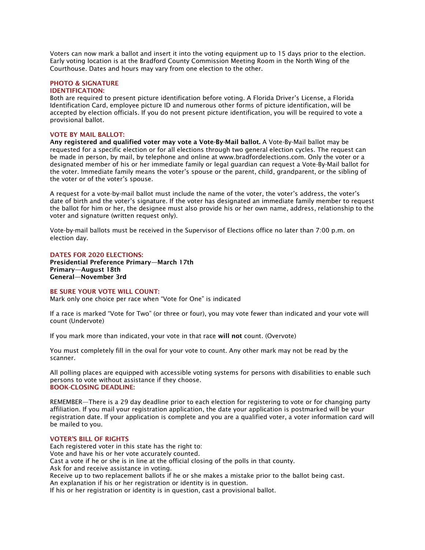Voters can now mark a ballot and insert it into the voting equipment up to 15 days prior to the election. Early voting location is at the Bradford County Commission Meeting Room in the North Wing of the Courthouse. Dates and hours may vary from one election to the other.

## PHOTO & SIGNATURE

## IDENTIFICATION:

Both are required to present picture identification before voting. A Florida Driver's License, a Florida Identification Card, employee picture ID and numerous other forms of picture identification, will be accepted by election officials. If you do not present picture identification, you will be required to vote a provisional ballot.

### VOTE BY MAIL BALLOT:

Any registered and qualified voter may vote a Vote-By-Mail ballot. A Vote-By-Mail ballot may be requested for a specific election or for all elections through two general election cycles. The request can be made in person, by mail, by telephone and online at www.bradfordelections.com. Only the voter or a designated member of his or her immediate family or legal guardian can request a Vote-By-Mail ballot for the voter. Immediate family means the voter's spouse or the parent, child, grandparent, or the sibling of the voter or of the voter's spouse.

A request for a vote-by-mail ballot must include the name of the voter, the voter's address, the voter's date of birth and the voter's signature. If the voter has designated an immediate family member to request the ballot for him or her, the designee must also provide his or her own name, address, relationship to the voter and signature (written request only).

Vote-by-mail ballots must be received in the Supervisor of Elections office no later than 7:00 p.m. on election day.

#### DATES FOR 2020 ELECTIONS:

Presidential Preference Primary—March 17th Primary—August 18th General—November 3rd

#### BE SURE YOUR VOTE WILL COUNT:

Mark only one choice per race when "Vote for One" is indicated

If a race is marked "Vote for Two" (or three or four), you may vote fewer than indicated and your vote will count (Undervote)

If you mark more than indicated, your vote in that race will not count. (Overvote)

You must completely fill in the oval for your vote to count. Any other mark may not be read by the scanner.

All polling places are equipped with accessible voting systems for persons with disabilities to enable such persons to vote without assistance if they choose. BOOK-CLOSING DEADLINE:

REMEMBER—There is a 29 day deadline prior to each election for registering to vote or for changing party affiliation. If you mail your registration application, the date your application is postmarked will be your registration date. If your application is complete and you are a qualified voter, a voter information card will be mailed to you.

## VOTER'S BILL OF RIGHTS

Each registered voter in this state has the right to: Vote and have his or her vote accurately counted. Cast a vote if he or she is in line at the official closing of the polls in that county. Ask for and receive assistance in voting. Receive up to two replacement ballots if he or she makes a mistake prior to the ballot being cast. An explanation if his or her registration or identity is in question.

If his or her registration or identity is in question, cast a provisional ballot.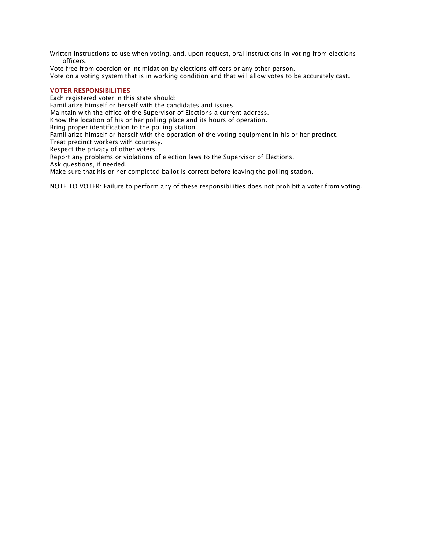Written instructions to use when voting, and, upon request, oral instructions in voting from elections officers.

Vote free from coercion or intimidation by elections officers or any other person.

Vote on a voting system that is in working condition and that will allow votes to be accurately cast.

## VOTER RESPONSIBILITIES

Each registered voter in this state should: Familiarize himself or herself with the candidates and issues. Maintain with the office of the Supervisor of Elections a current address. Know the location of his or her polling place and its hours of operation. Bring proper identification to the polling station. Familiarize himself or herself with the operation of the voting equipment in his or her precinct. Treat precinct workers with courtesy. Respect the privacy of other voters. Report any problems or violations of election laws to the Supervisor of Elections. Ask questions, if needed.

Make sure that his or her completed ballot is correct before leaving the polling station.

NOTE TO VOTER: Failure to perform any of these responsibilities does not prohibit a voter from voting.